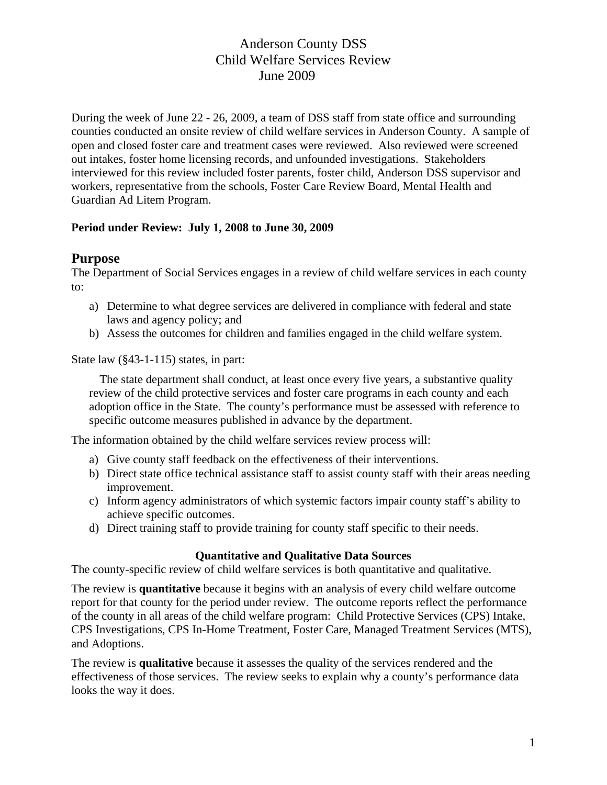During the week of June 22 - 26, 2009, a team of DSS staff from state office and surrounding counties conducted an onsite review of child welfare services in Anderson County. A sample of open and closed foster care and treatment cases were reviewed. Also reviewed were screened out intakes, foster home licensing records, and unfounded investigations. Stakeholders interviewed for this review included foster parents, foster child, Anderson DSS supervisor and workers, representative from the schools, Foster Care Review Board, Mental Health and Guardian Ad Litem Program.

## **Period under Review: July 1, 2008 to June 30, 2009**

## **Purpose**

The Department of Social Services engages in a review of child welfare services in each county to:

- a) Determine to what degree services are delivered in compliance with federal and state laws and agency policy; and
- b) Assess the outcomes for children and families engaged in the child welfare system.

State law (§43-1-115) states, in part:

The state department shall conduct, at least once every five years, a substantive quality review of the child protective services and foster care programs in each county and each adoption office in the State. The county's performance must be assessed with reference to specific outcome measures published in advance by the department.

The information obtained by the child welfare services review process will:

- a) Give county staff feedback on the effectiveness of their interventions.
- b) Direct state office technical assistance staff to assist county staff with their areas needing improvement.
- c) Inform agency administrators of which systemic factors impair county staff's ability to achieve specific outcomes.
- d) Direct training staff to provide training for county staff specific to their needs.

## **Quantitative and Qualitative Data Sources**

The county-specific review of child welfare services is both quantitative and qualitative.

The review is **quantitative** because it begins with an analysis of every child welfare outcome report for that county for the period under review. The outcome reports reflect the performance of the county in all areas of the child welfare program: Child Protective Services (CPS) Intake, CPS Investigations, CPS In-Home Treatment, Foster Care, Managed Treatment Services (MTS), and Adoptions.

The review is **qualitative** because it assesses the quality of the services rendered and the effectiveness of those services. The review seeks to explain why a county's performance data looks the way it does.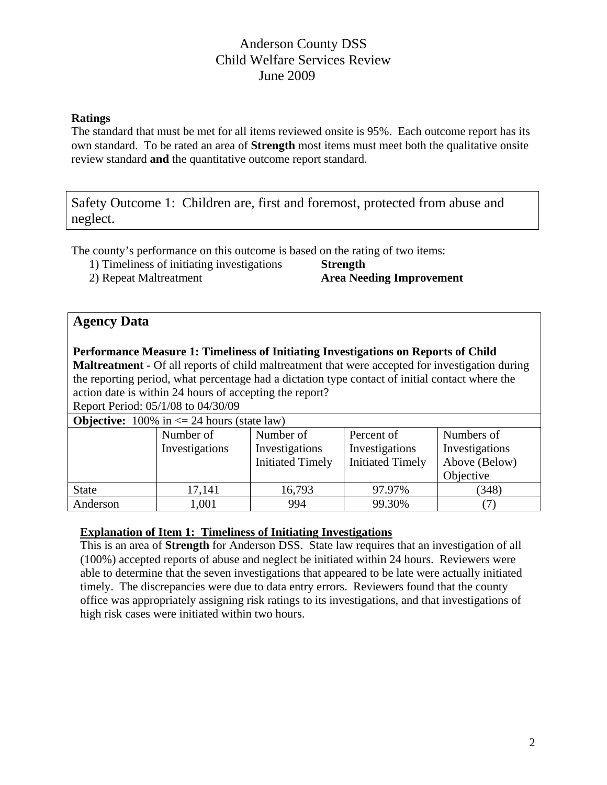#### **Ratings**

The standard that must be met for all items reviewed onsite is 95%. Each outcome report has its own standard. To be rated an area of **Strength** most items must meet both the qualitative onsite review standard **and** the quantitative outcome report standard.

Safety Outcome 1: Children are, first and foremost, protected from abuse and neglect.

The county's performance on this outcome is based on the rating of two items:

1) Timeliness of initiating investigations **Strength** 

2) Repeat Maltreatment **Area Needing Improvement** 

# **Agency Data**

**Performance Measure 1: Timeliness of Initiating Investigations on Reports of Child Maltreatment -** Of all reports of child maltreatment that were accepted for investigation during the reporting period, what percentage had a dictation type contact of initial contact where the action date is within 24 hours of accepting the report? Report Period: 05/1/08 to 04/30/09

| <b>Objective:</b> 100% in $\leq$ 24 hours (state law) |                |                         |                         |                |  |  |  |  |
|-------------------------------------------------------|----------------|-------------------------|-------------------------|----------------|--|--|--|--|
|                                                       | Number of      | Number of               | Percent of              | Numbers of     |  |  |  |  |
|                                                       | Investigations | Investigations          | Investigations          | Investigations |  |  |  |  |
|                                                       |                | <b>Initiated Timely</b> | <b>Initiated Timely</b> | Above (Below)  |  |  |  |  |
|                                                       |                |                         |                         | Objective      |  |  |  |  |
| <b>State</b>                                          | 17,141         | 16,793                  | 97.97%                  | (348)          |  |  |  |  |
| Anderson                                              | 1,001          | 994                     | 99.30%                  |                |  |  |  |  |

## **Explanation of Item 1: Timeliness of Initiating Investigations**

This is an area of **Strength** for Anderson DSS. State law requires that an investigation of all (100%) accepted reports of abuse and neglect be initiated within 24 hours. Reviewers were able to determine that the seven investigations that appeared to be late were actually initiated timely. The discrepancies were due to data entry errors. Reviewers found that the county office was appropriately assigning risk ratings to its investigations, and that investigations of high risk cases were initiated within two hours.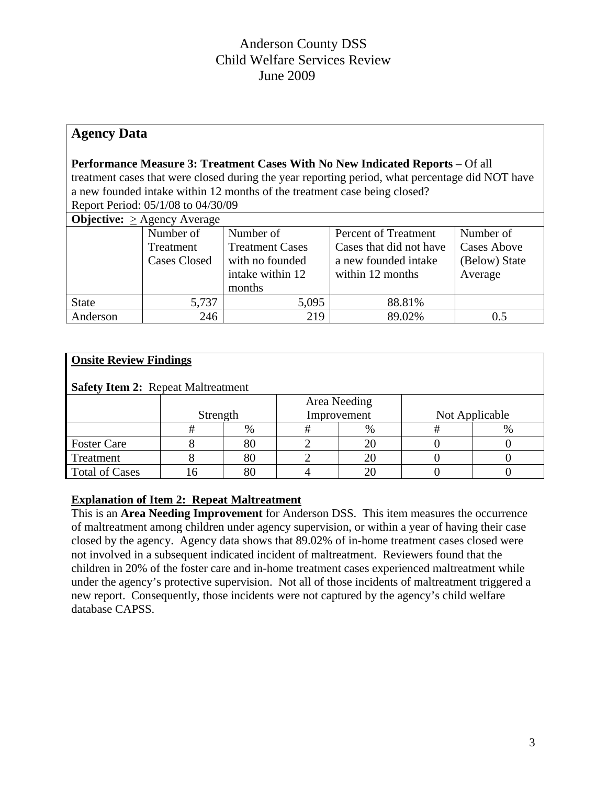# **Agency Data**

## **Performance Measure 3: Treatment Cases With No New Indicated Reports** – Of all

treatment cases that were closed during the year reporting period, what percentage did NOT have a new founded intake within 12 months of the treatment case being closed? Report Period: 05/1/08 to 04/30/09

| <b>Objective:</b> $>$ Agency Average |                     |                        |                         |                    |  |  |  |  |  |
|--------------------------------------|---------------------|------------------------|-------------------------|--------------------|--|--|--|--|--|
|                                      | Number of           | Number of              | Percent of Treatment    | Number of          |  |  |  |  |  |
|                                      | Treatment           | <b>Treatment Cases</b> | Cases that did not have | <b>Cases Above</b> |  |  |  |  |  |
|                                      | <b>Cases Closed</b> | with no founded        | a new founded intake    | (Below) State      |  |  |  |  |  |
|                                      |                     | intake within 12       | within 12 months        | Average            |  |  |  |  |  |
|                                      |                     | months                 |                         |                    |  |  |  |  |  |
| <b>State</b>                         | 5,737               | 5,095                  | 88.81%                  |                    |  |  |  |  |  |
| Anderson                             | 246                 | 219                    | 89.02%                  | $\rm 0.5$          |  |  |  |  |  |

#### **Onsite Review Findings**

## **Safety Item 2:** Repeat Maltreatment

|                       | Area Needing<br>Improvement<br>Strength |      |  | Not Applicable |  |  |
|-----------------------|-----------------------------------------|------|--|----------------|--|--|
|                       |                                         | $\%$ |  | $\%$           |  |  |
| <b>Foster Care</b>    |                                         | 80   |  |                |  |  |
| Treatment             |                                         | 80   |  |                |  |  |
| <b>Total of Cases</b> |                                         | 80   |  |                |  |  |

## **Explanation of Item 2: Repeat Maltreatment**

This is an **Area Needing Improvement** for Anderson DSS. This item measures the occurrence of maltreatment among children under agency supervision, or within a year of having their case closed by the agency. Agency data shows that 89.02% of in-home treatment cases closed were not involved in a subsequent indicated incident of maltreatment. Reviewers found that the children in 20% of the foster care and in-home treatment cases experienced maltreatment while under the agency's protective supervision. Not all of those incidents of maltreatment triggered a new report. Consequently, those incidents were not captured by the agency's child welfare database CAPSS.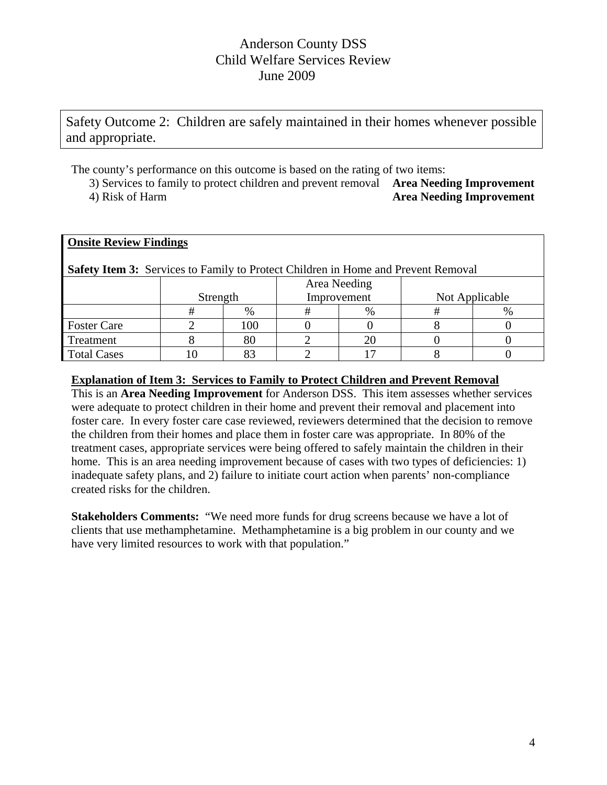Safety Outcome 2: Children are safely maintained in their homes whenever possible and appropriate.

The county's performance on this outcome is based on the rating of two items:

3) Services to family to protect children and prevent removal **Area Needing Improvement**  4) Risk of Harm **Area Needing Improvement** 

## **Onsite Review Findings Safety Item 3:** Services to Family to Protect Children in Home and Prevent Removal Strength Area Needing Improvement Not Applicable # % # % # % Foster Care  $\begin{array}{|c|c|c|c|c|c|c|c|c|} \hline \end{array}$  2 100 0 0 0 8 0 Treatment  $\begin{array}{|c|c|c|c|c|c|c|c|c|} \hline 8 & 80 & 2 & 20 & 0 & 0 \ \hline \end{array}$

#### **Explanation of Item 3: Services to Family to Protect Children and Prevent Removal**

Total Cases 1 10 83 2 17 8 0

This is an **Area Needing Improvement** for Anderson DSS. This item assesses whether services were adequate to protect children in their home and prevent their removal and placement into foster care. In every foster care case reviewed, reviewers determined that the decision to remove the children from their homes and place them in foster care was appropriate. In 80% of the treatment cases, appropriate services were being offered to safely maintain the children in their home. This is an area needing improvement because of cases with two types of deficiencies: 1) inadequate safety plans, and 2) failure to initiate court action when parents' non-compliance created risks for the children.

**Stakeholders Comments:** "We need more funds for drug screens because we have a lot of clients that use methamphetamine. Methamphetamine is a big problem in our county and we have very limited resources to work with that population."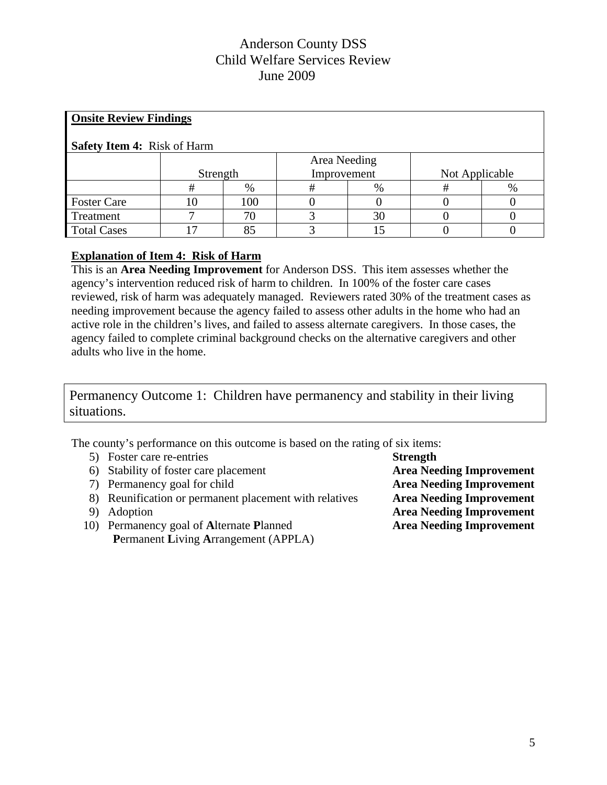| <b>Onsite Review Findings</b>      |              |     |             |      |                |      |  |  |  |
|------------------------------------|--------------|-----|-------------|------|----------------|------|--|--|--|
| <b>Safety Item 4: Risk of Harm</b> |              |     |             |      |                |      |  |  |  |
|                                    | Area Needing |     |             |      |                |      |  |  |  |
|                                    | Strength     |     | Improvement |      | Not Applicable |      |  |  |  |
|                                    | #            | %   | #           | $\%$ |                | $\%$ |  |  |  |
| <b>Foster Care</b>                 | 10           | 100 |             |      |                |      |  |  |  |
| Treatment                          |              | 70  |             | 30   |                |      |  |  |  |
| <b>Total Cases</b>                 |              | 85  |             |      |                |      |  |  |  |

## **Explanation of Item 4: Risk of Harm**

This is an **Area Needing Improvement** for Anderson DSS. This item assesses whether the agency's intervention reduced risk of harm to children. In 100% of the foster care cases reviewed, risk of harm was adequately managed. Reviewers rated 30% of the treatment cases as needing improvement because the agency failed to assess other adults in the home who had an active role in the children's lives, and failed to assess alternate caregivers. In those cases, the agency failed to complete criminal background checks on the alternative caregivers and other adults who live in the home.

Permanency Outcome 1: Children have permanency and stability in their living situations.

The county's performance on this outcome is based on the rating of six items:

- 5) Foster care re-entries **Strength**
- 6) Stability of foster care placement **Area Needing Improvement**
- 7) Permanency goal for child **Area Needing Improvement**
- 8) Reunification or permanent placement with relatives **Area Needing Improvement**
- 
- 10) Permanency goal of **A**lternate **P**lanned **Area Needing Improvement P**ermanent **L**iving **A**rrangement (APPLA)

9) Adoption **Area Needing Improvement**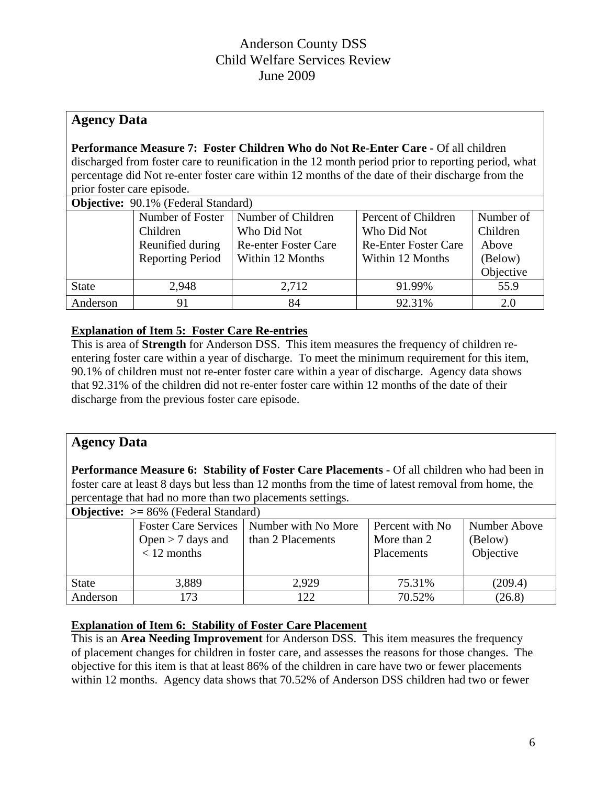# **Agency Data**

**Performance Measure 7: Foster Children Who do Not Re-Enter Care -** Of all children discharged from foster care to reunification in the 12 month period prior to reporting period, what percentage did Not re-enter foster care within 12 months of the date of their discharge from the prior foster care episode.

| <b>Objective:</b> 90.1% (Federal Standard) |                                             |                                           |                             |           |  |  |  |
|--------------------------------------------|---------------------------------------------|-------------------------------------------|-----------------------------|-----------|--|--|--|
|                                            | Number of Foster                            | Number of Children<br>Percent of Children |                             |           |  |  |  |
|                                            | Children                                    | Who Did Not                               | Who Did Not                 | Children  |  |  |  |
|                                            | Reunified during                            | <b>Re-enter Foster Care</b>               | <b>Re-Enter Foster Care</b> | Above     |  |  |  |
|                                            | <b>Reporting Period</b><br>Within 12 Months |                                           | Within 12 Months            | (Below)   |  |  |  |
|                                            |                                             |                                           |                             | Objective |  |  |  |
| <b>State</b>                               | 2,948                                       | 2,712                                     | 91.99%                      | 55.9      |  |  |  |
| Anderson                                   | 91                                          | 84                                        | 92.31%                      |           |  |  |  |

## **Explanation of Item 5: Foster Care Re-entries**

This is area of **Strength** for Anderson DSS. This item measures the frequency of children reentering foster care within a year of discharge. To meet the minimum requirement for this item, 90.1% of children must not re-enter foster care within a year of discharge. Agency data shows that 92.31% of the children did not re-enter foster care within 12 months of the date of their discharge from the previous foster care episode.

# **Agency Data**

**Performance Measure 6: Stability of Foster Care Placements -** Of all children who had been in foster care at least 8 days but less than 12 months from the time of latest removal from home, the percentage that had no more than two placements settings.

| <b>Objective:</b> $>= 86\%$ (Federal Standard) |                                      |                                                                 |                                                     |                                      |  |  |  |  |
|------------------------------------------------|--------------------------------------|-----------------------------------------------------------------|-----------------------------------------------------|--------------------------------------|--|--|--|--|
|                                                | Open $>$ 7 days and<br>$< 12$ months | Foster Care Services   Number with No More<br>than 2 Placements | Percent with No<br>More than 2<br><b>Placements</b> | Number Above<br>(Below)<br>Objective |  |  |  |  |
| <b>State</b>                                   | 3,889                                | 2.929                                                           | 75.31%                                              | (209.4)                              |  |  |  |  |
| Anderson                                       | 173                                  | 122                                                             | 70.52%                                              | (26.8)                               |  |  |  |  |

## **Explanation of Item 6: Stability of Foster Care Placement**

This is an **Area Needing Improvement** for Anderson DSS. This item measures the frequency of placement changes for children in foster care, and assesses the reasons for those changes. The objective for this item is that at least 86% of the children in care have two or fewer placements within 12 months. Agency data shows that 70.52% of Anderson DSS children had two or fewer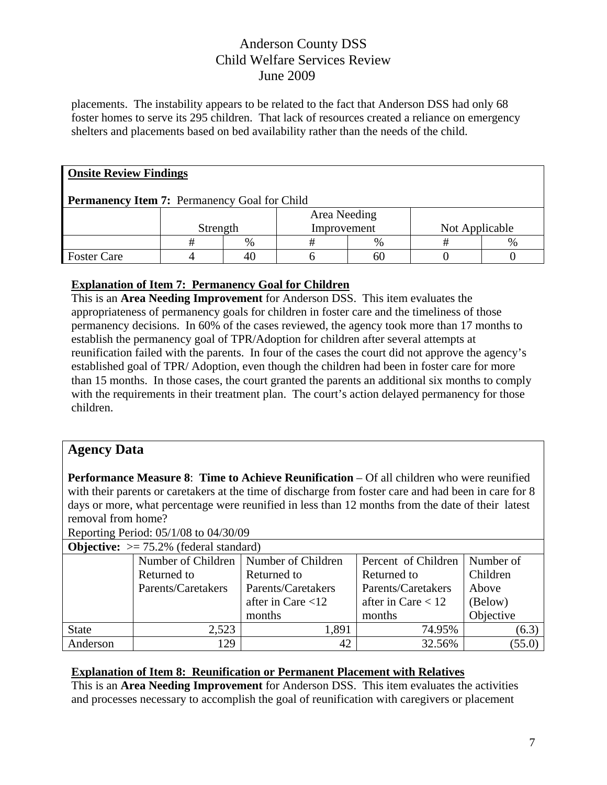placements. The instability appears to be related to the fact that Anderson DSS had only 68 foster homes to serve its 295 children. That lack of resources created a reliance on emergency shelters and placements based on bed availability rather than the needs of the child.

| <b>Onsite Review Findings</b>                       |          |   |              |      |                |      |  |  |
|-----------------------------------------------------|----------|---|--------------|------|----------------|------|--|--|
| <b>Permanency Item 7:</b> Permanency Goal for Child |          |   |              |      |                |      |  |  |
|                                                     |          |   | Area Needing |      |                |      |  |  |
|                                                     | Strength |   | Improvement  |      | Not Applicable |      |  |  |
|                                                     |          | % | Ħ            | $\%$ |                | $\%$ |  |  |
| <b>Foster Care</b>                                  |          |   |              | 61   |                |      |  |  |

## **Explanation of Item 7: Permanency Goal for Children**

This is an **Area Needing Improvement** for Anderson DSS. This item evaluates the appropriateness of permanency goals for children in foster care and the timeliness of those permanency decisions. In 60% of the cases reviewed, the agency took more than 17 months to establish the permanency goal of TPR/Adoption for children after several attempts at reunification failed with the parents. In four of the cases the court did not approve the agency's established goal of TPR/ Adoption, even though the children had been in foster care for more than 15 months. In those cases, the court granted the parents an additional six months to comply with the requirements in their treatment plan. The court's action delayed permanency for those children.

# **Agency Data**

**Performance Measure 8**: **Time to Achieve Reunification** – Of all children who were reunified with their parents or caretakers at the time of discharge from foster care and had been in care for 8 days or more, what percentage were reunified in less than 12 months from the date of their latest removal from home?

Reporting Period: 05/1/08 to 04/30/09

| <b>Objective:</b> $> = 75.2\%$ (federal standard) |                    |                                          |                                 |           |  |  |  |  |
|---------------------------------------------------|--------------------|------------------------------------------|---------------------------------|-----------|--|--|--|--|
|                                                   |                    | Number of Children   Number of Children  | Percent of Children   Number of |           |  |  |  |  |
|                                                   | Returned to        | Returned to<br>Returned to               |                                 | Children  |  |  |  |  |
|                                                   | Parents/Caretakers | Parents/Caretakers<br>Parents/Caretakers |                                 | Above     |  |  |  |  |
|                                                   |                    | after in Care $<$ 12                     | after in Care $< 12$            | (Below)   |  |  |  |  |
|                                                   |                    | months                                   | months                          | Objective |  |  |  |  |
| <b>State</b>                                      | 2,523              | 1,891                                    | 74.95%                          | (6.3)     |  |  |  |  |
| Anderson                                          | 129                | 42                                       | 32.56%                          | (55.0)    |  |  |  |  |

## **Explanation of Item 8: Reunification or Permanent Placement with Relatives**

This is an **Area Needing Improvement** for Anderson DSS. This item evaluates the activities and processes necessary to accomplish the goal of reunification with caregivers or placement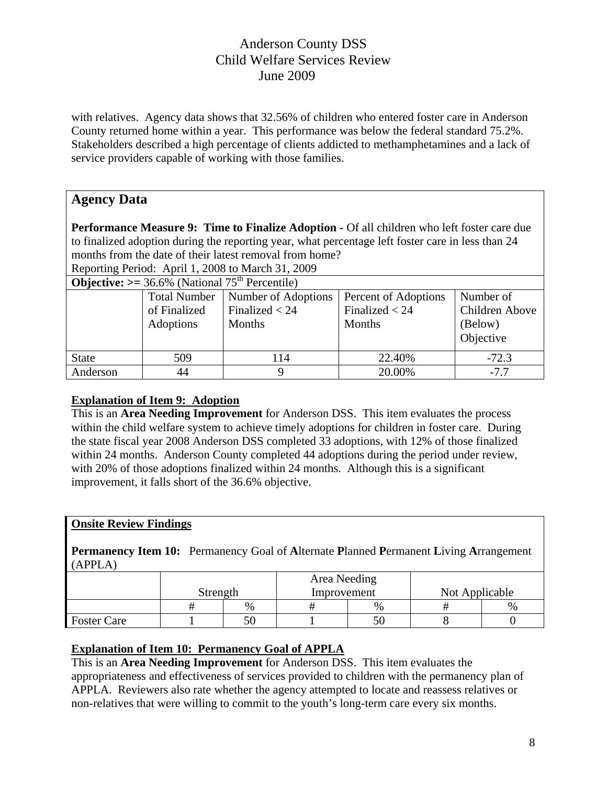with relatives. Agency data shows that 32.56% of children who entered foster care in Anderson County returned home within a year. This performance was below the federal standard 75.2%. Stakeholders described a high percentage of clients addicted to methamphetamines and a lack of service providers capable of working with those families.

# **Agency Data**

**Performance Measure 9: Time to Finalize Adoption - Of all children who left foster care due** to finalized adoption during the reporting year, what percentage left foster care in less than 24 months from the date of their latest removal from home?

Reporting Period:April 1, 2008 to March 31, 2009

| <b>Objective:</b> $>= 36.6\%$ (National $75th$ Percentile) |                                                  |                                                   |                                                    |                                                     |  |  |  |  |
|------------------------------------------------------------|--------------------------------------------------|---------------------------------------------------|----------------------------------------------------|-----------------------------------------------------|--|--|--|--|
|                                                            | <b>Total Number</b><br>of Finalized<br>Adoptions | Number of Adoptions<br>Finalized $<$ 24<br>Months | Percent of Adoptions<br>Finalized $<$ 24<br>Months | Number of<br>Children Above<br>(Below)<br>Objective |  |  |  |  |
| <b>State</b>                                               | 509                                              | 114                                               | 22.40%                                             | $-72.3$                                             |  |  |  |  |
| Anderson                                                   | 44                                               |                                                   | 20.00%                                             | $-7.7$                                              |  |  |  |  |

## **Explanation of Item 9: Adoption**

This is an **Area Needing Improvement** for Anderson DSS. This item evaluates the process within the child welfare system to achieve timely adoptions for children in foster care. During the state fiscal year 2008 Anderson DSS completed 33 adoptions, with 12% of those finalized within 24 months. Anderson County completed 44 adoptions during the period under review, with 20% of those adoptions finalized within 24 months. Although this is a significant improvement, it falls short of the 36.6% objective.

## **Onsite Review Findings**

**Permanency Item 10:** Permanency Goal of **A**lternate **P**lanned **P**ermanent **L**iving **A**rrangement (APPLA)

|                    | Area Needing<br>Strength<br>Improvement |  |      | Not Applicable |      |  |
|--------------------|-----------------------------------------|--|------|----------------|------|--|
|                    | $\%$                                    |  | $\%$ |                | $\%$ |  |
| <b>Foster Care</b> | 50                                      |  |      |                |      |  |

## **Explanation of Item 10: Permanency Goal of APPLA**

This is an **Area Needing Improvement** for Anderson DSS. This item evaluates the appropriateness and effectiveness of services provided to children with the permanency plan of APPLA. Reviewers also rate whether the agency attempted to locate and reassess relatives or non-relatives that were willing to commit to the youth's long-term care every six months.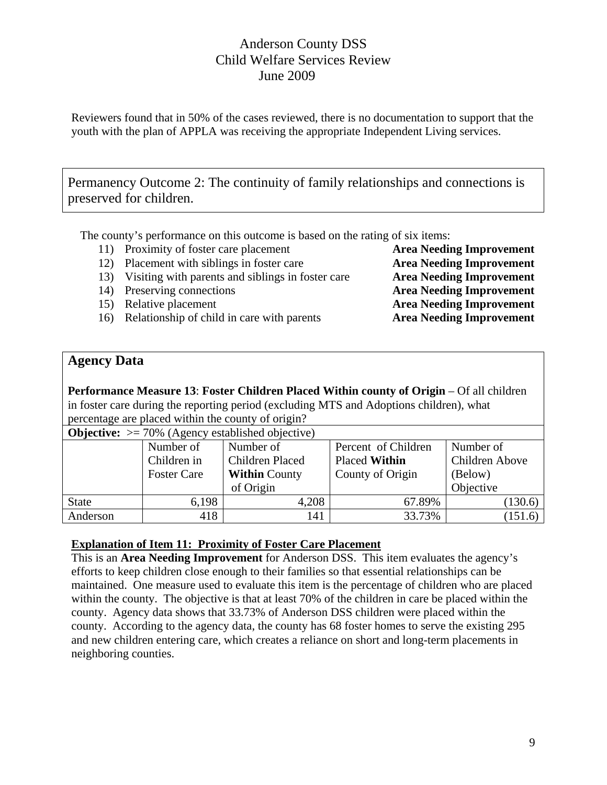Reviewers found that in 50% of the cases reviewed, there is no documentation to support that the youth with the plan of APPLA was receiving the appropriate Independent Living services.

Permanency Outcome 2: The continuity of family relationships and connections is preserved for children.

The county's performance on this outcome is based on the rating of six items:

- 11) Proximity of foster care placement **Area Needing Improvement**
- 12) Placement with siblings in foster care **Area Needing Improvement**
- 13) Visiting with parents and siblings in foster care **Area Needing Improvement**
- 
- 
- 16) Relationship of child in care with parents **Area Needing Improvement**

14) Preserving connections **Area Needing Improvement**  15) Relative placement **Area Needing Improvement**

# **Agency Data**

**Performance Measure 13**: **Foster Children Placed Within county of Origin** – Of all children in foster care during the reporting period (excluding MTS and Adoptions children), what percentage are placed within the county of origin?<br>
Obtained a 2004 (A concy established objective **Objective:** >= 70% (Agency established objective)

| <b>ODJective:</b> $> = 70\%$ (Agency established objective) |                    |                                         |                     |                |  |  |  |  |
|-------------------------------------------------------------|--------------------|-----------------------------------------|---------------------|----------------|--|--|--|--|
|                                                             | Number of          | Number of                               | Percent of Children | Number of      |  |  |  |  |
|                                                             | Children in        | Children Placed<br><b>Placed Within</b> |                     | Children Above |  |  |  |  |
|                                                             | <b>Foster Care</b> | <b>Within County</b>                    | County of Origin    | (Below)        |  |  |  |  |
|                                                             |                    | of Origin                               |                     | Objective      |  |  |  |  |
| <b>State</b>                                                | 6,198              | 4,208                                   | 67.89%              | (130.6)        |  |  |  |  |
| Anderson                                                    | 418                | 141                                     | 33.73%              | (151.6)        |  |  |  |  |

**Explanation of Item 11: Proximity of Foster Care Placement**

This is an **Area Needing Improvement** for Anderson DSS. This item evaluates the agency's efforts to keep children close enough to their families so that essential relationships can be maintained. One measure used to evaluate this item is the percentage of children who are placed within the county. The objective is that at least 70% of the children in care be placed within the county. Agency data shows that 33.73% of Anderson DSS children were placed within the county. According to the agency data, the county has 68 foster homes to serve the existing 295 and new children entering care, which creates a reliance on short and long-term placements in neighboring counties.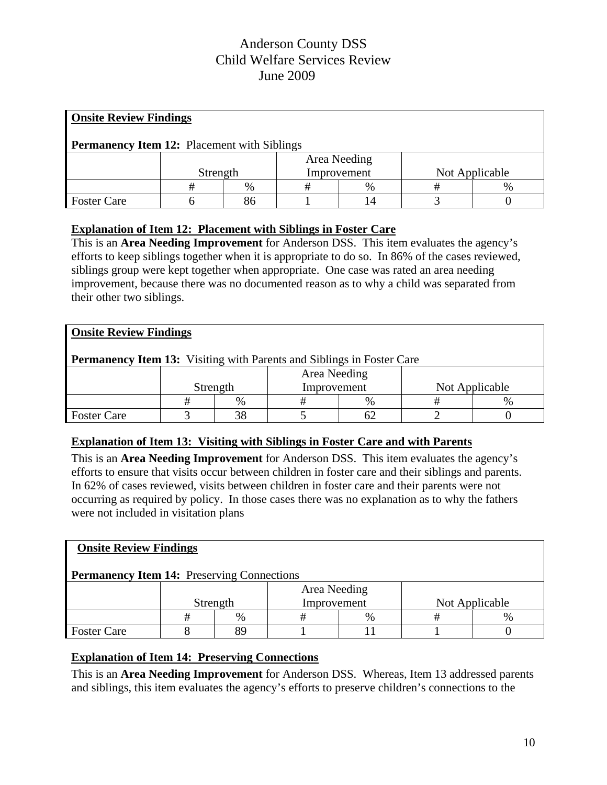| <b>Onsite Review Findings</b>                      |              |      |             |               |                |      |  |  |  |
|----------------------------------------------------|--------------|------|-------------|---------------|----------------|------|--|--|--|
| <b>Permanency Item 12:</b> Placement with Siblings |              |      |             |               |                |      |  |  |  |
|                                                    | Area Needing |      |             |               |                |      |  |  |  |
|                                                    | Strength     |      | Improvement |               | Not Applicable |      |  |  |  |
|                                                    |              | $\%$ |             | $\frac{0}{0}$ |                | $\%$ |  |  |  |
| <b>Foster Care</b>                                 |              | 86   |             |               |                |      |  |  |  |

## **Explanation of Item 12: Placement with Siblings in Foster Care**

This is an **Area Needing Improvement** for Anderson DSS. This item evaluates the agency's efforts to keep siblings together when it is appropriate to do so. In 86% of the cases reviewed, siblings group were kept together when appropriate. One case was rated an area needing improvement, because there was no documented reason as to why a child was separated from their other two siblings.

| <b>Onsite Review Findings</b>                                                |                                           |  |  |  |  |  |  |  |  |  |
|------------------------------------------------------------------------------|-------------------------------------------|--|--|--|--|--|--|--|--|--|
| <b>Permanency Item 13:</b> Visiting with Parents and Siblings in Foster Care |                                           |  |  |  |  |  |  |  |  |  |
| Area Needing                                                                 |                                           |  |  |  |  |  |  |  |  |  |
|                                                                              | Improvement<br>Not Applicable<br>Strength |  |  |  |  |  |  |  |  |  |
| $\frac{0}{0}$<br>$\frac{0}{0}$<br>$\%$                                       |                                           |  |  |  |  |  |  |  |  |  |
| <b>Foster Care</b>                                                           |                                           |  |  |  |  |  |  |  |  |  |

## **Explanation of Item 13: Visiting with Siblings in Foster Care and with Parents**

This is an **Area Needing Improvement** for Anderson DSS. This item evaluates the agency's efforts to ensure that visits occur between children in foster care and their siblings and parents. In 62% of cases reviewed, visits between children in foster care and their parents were not occurring as required by policy. In those cases there was no explanation as to why the fathers were not included in visitation plans

| <b>Onsite Review Findings</b>                     |              |  |             |  |  |                |  |  |  |
|---------------------------------------------------|--------------|--|-------------|--|--|----------------|--|--|--|
| <b>Permanency Item 14:</b> Preserving Connections |              |  |             |  |  |                |  |  |  |
|                                                   | Area Needing |  |             |  |  |                |  |  |  |
|                                                   | Strength     |  | Improvement |  |  | Not Applicable |  |  |  |
| $\%$<br>$\%$<br>%<br>#<br>#<br>#                  |              |  |             |  |  |                |  |  |  |
| <b>Foster Care</b>                                |              |  |             |  |  |                |  |  |  |

## **Explanation of Item 14: Preserving Connections**

This is an **Area Needing Improvement** for Anderson DSS. Whereas, Item 13 addressed parents and siblings, this item evaluates the agency's efforts to preserve children's connections to the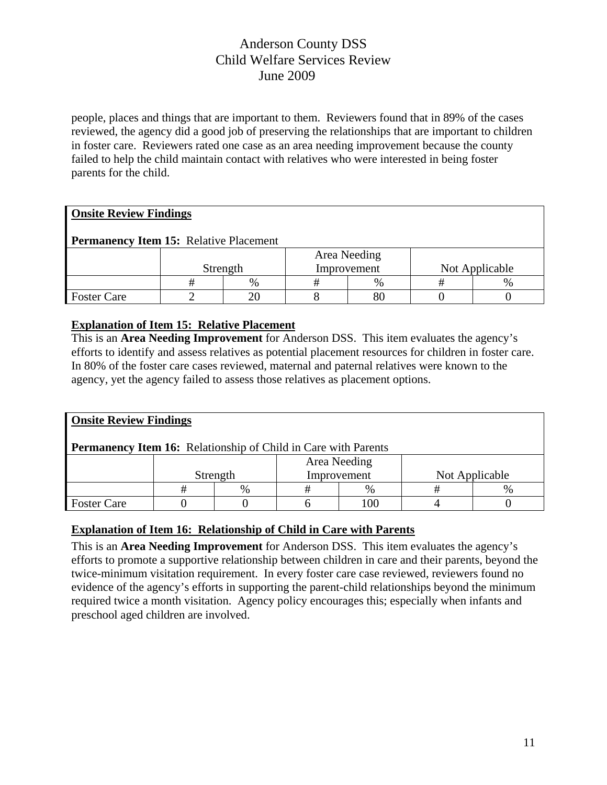people, places and things that are important to them. Reviewers found that in 89% of the cases reviewed, the agency did a good job of preserving the relationships that are important to children in foster care. Reviewers rated one case as an area needing improvement because the county failed to help the child maintain contact with relatives who were interested in being foster parents for the child.

## **Onsite Review Findings**

## **Permanency Item 15:** Relative Placement

|                    |          | Area Needing  |             |      |                |               |
|--------------------|----------|---------------|-------------|------|----------------|---------------|
|                    | Strength |               | Improvement |      | Not Applicable |               |
|                    |          | $\frac{0}{6}$ |             | $\%$ |                | $\frac{0}{6}$ |
| <b>Foster Care</b> |          |               |             | 80   |                |               |

## **Explanation of Item 15: Relative Placement**

This is an **Area Needing Improvement** for Anderson DSS. This item evaluates the agency's efforts to identify and assess relatives as potential placement resources for children in foster care. In 80% of the foster care cases reviewed, maternal and paternal relatives were known to the agency, yet the agency failed to assess those relatives as placement options.

| <b>Onsite Review Findings</b>                                         |              |          |  |             |                |  |  |  |  |
|-----------------------------------------------------------------------|--------------|----------|--|-------------|----------------|--|--|--|--|
| <b>Permanency Item 16:</b> Relationship of Child in Care with Parents |              |          |  |             |                |  |  |  |  |
|                                                                       | Area Needing |          |  |             |                |  |  |  |  |
|                                                                       |              | Strength |  | Improvement | Not Applicable |  |  |  |  |
| $\%$<br>$\frac{0}{0}$<br>$\%$                                         |              |          |  |             |                |  |  |  |  |
| <b>Foster Care</b>                                                    |              |          |  | 100         |                |  |  |  |  |

## **Explanation of Item 16: Relationship of Child in Care with Parents**

This is an **Area Needing Improvement** for Anderson DSS. This item evaluates the agency's efforts to promote a supportive relationship between children in care and their parents, beyond the twice-minimum visitation requirement. In every foster care case reviewed, reviewers found no evidence of the agency's efforts in supporting the parent-child relationships beyond the minimum required twice a month visitation. Agency policy encourages this; especially when infants and preschool aged children are involved.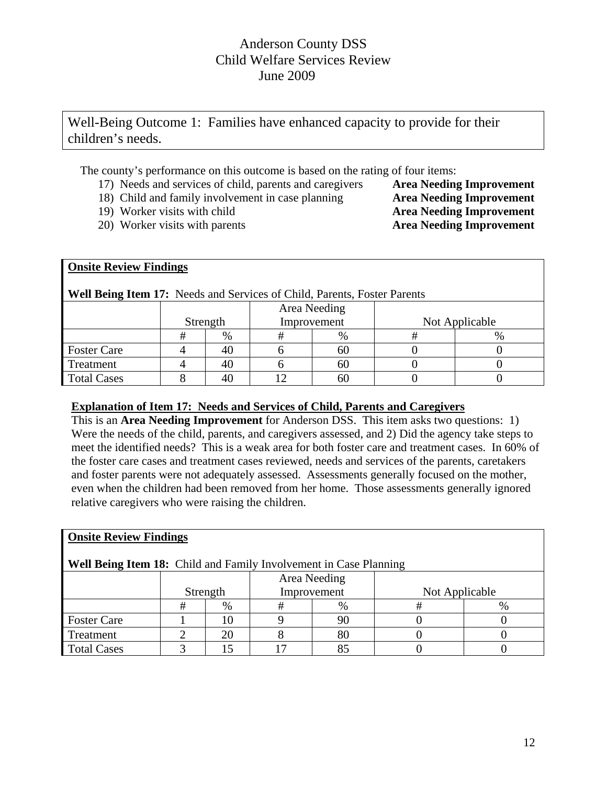Well-Being Outcome 1: Families have enhanced capacity to provide for their children's needs.

The county's performance on this outcome is based on the rating of four items:

- 17) Needs and services of child, parents and caregivers **Area Needing Improvement**
- 18) Child and family involvement in case planning **Area Needing Improvement**
- 19) Worker visits with child **Area Needing Improvement**
- 20) Worker visits with parents **Area Needing Improvement**

# **Onsite Review Findings**

| <b>Well Being Item 17:</b> Needs and Services of Child, Parents, Foster Parents |  |   |  |  |  |  |  |  |
|---------------------------------------------------------------------------------|--|---|--|--|--|--|--|--|
| Area Needing<br>Not Applicable<br>Improvement<br>Strength                       |  |   |  |  |  |  |  |  |
|                                                                                 |  | % |  |  |  |  |  |  |

Foster Care  $\begin{array}{|c|c|c|c|c|} \hline 4 & 40 & 6 & 60 & 0 \\ \hline \end{array}$ Treatment  $\begin{array}{|c|c|c|c|c|c|} \hline 4 & 40 & 6 & 60 & 0 \\ \hline \end{array}$ Total Cases  $\begin{array}{|c|c|c|c|c|c|} \hline 8 & 40 & 12 & 60 & 0 \\ \hline \end{array}$ 

## **Explanation of Item 17: Needs and Services of Child, Parents and Caregivers**

This is an **Area Needing Improvement** for Anderson DSS. This item asks two questions: 1) Were the needs of the child, parents, and caregivers assessed, and 2) Did the agency take steps to meet the identified needs? This is a weak area for both foster care and treatment cases. In 60% of the foster care cases and treatment cases reviewed, needs and services of the parents, caretakers and foster parents were not adequately assessed. Assessments generally focused on the mother, even when the children had been removed from her home. Those assessments generally ignored relative caregivers who were raising the children.

| <b>Onsite Review Findings</b>                                            |   |          |   |             |                |      |  |  |
|--------------------------------------------------------------------------|---|----------|---|-------------|----------------|------|--|--|
| <b>Well Being Item 18:</b> Child and Family Involvement in Case Planning |   |          |   |             |                |      |  |  |
| Area Needing                                                             |   |          |   |             |                |      |  |  |
|                                                                          |   | Strength |   | Improvement | Not Applicable |      |  |  |
|                                                                          | # | $\%$     | # | %           |                | $\%$ |  |  |
| <b>Foster Care</b>                                                       |   |          |   | 90          |                |      |  |  |
| Treatment                                                                |   | 20       |   | 80          |                |      |  |  |
| <b>Total Cases</b>                                                       |   |          |   | 85          |                |      |  |  |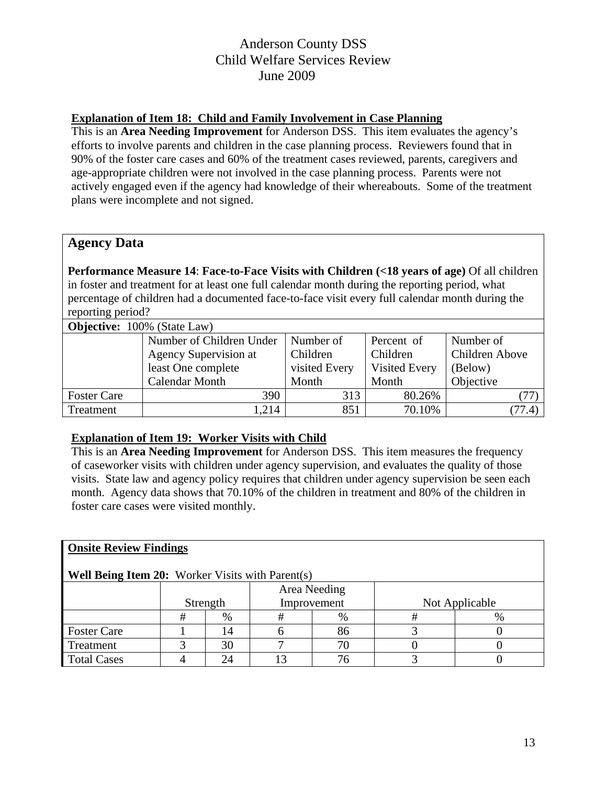## **Explanation of Item 18: Child and Family Involvement in Case Planning**

This is an **Area Needing Improvement** for Anderson DSS. This item evaluates the agency's efforts to involve parents and children in the case planning process. Reviewers found that in 90% of the foster care cases and 60% of the treatment cases reviewed, parents, caregivers and age-appropriate children were not involved in the case planning process. Parents were not actively engaged even if the agency had knowledge of their whereabouts. Some of the treatment plans were incomplete and not signed.

## **Agency Data**

**Performance Measure 14**: **Face-to-Face Visits with Children (<18 years of age)** Of all children in foster and treatment for at least one full calendar month during the reporting period, what percentage of children had a documented face-to-face visit every full calendar month during the reporting period?

| <b>Objective:</b> 100% (State Law) |                          |               |               |                 |  |  |  |  |  |
|------------------------------------|--------------------------|---------------|---------------|-----------------|--|--|--|--|--|
|                                    | Number of Children Under | Number of     | Percent of    | Number of       |  |  |  |  |  |
|                                    | Agency Supervision at    | Children      | Children      | Children Above  |  |  |  |  |  |
|                                    | least One complete       | visited Every | Visited Every | (Below)         |  |  |  |  |  |
|                                    | <b>Calendar Month</b>    | Month         | Month         | Objective       |  |  |  |  |  |
| <b>Foster Care</b>                 | 390                      | 313           | 80.26%        |                 |  |  |  |  |  |
| Treatment                          | 1,214                    | 851           | 70.10%        | $.77.4^{\circ}$ |  |  |  |  |  |

## **Explanation of Item 19: Worker Visits with Child**

This is an **Area Needing Improvement** for Anderson DSS.This item measures the frequency of caseworker visits with children under agency supervision, and evaluates the quality of those visits. State law and agency policy requires that children under agency supervision be seen each month. Agency data shows that 70.10% of the children in treatment and 80% of the children in foster care cases were visited monthly.

## **Onsite Review Findings**

## **Well Being Item 20:** Worker Visits with Parent(s)

| -                  |          |             |              |  |  |                |  |
|--------------------|----------|-------------|--------------|--|--|----------------|--|
|                    |          |             | Area Needing |  |  |                |  |
|                    | Strength | Improvement |              |  |  | Not Applicable |  |
|                    | $\%$     |             | $\%$         |  |  |                |  |
| <b>Foster Care</b> |          |             |              |  |  |                |  |
| Treatment          |          |             |              |  |  |                |  |
| <b>Total Cases</b> |          |             |              |  |  |                |  |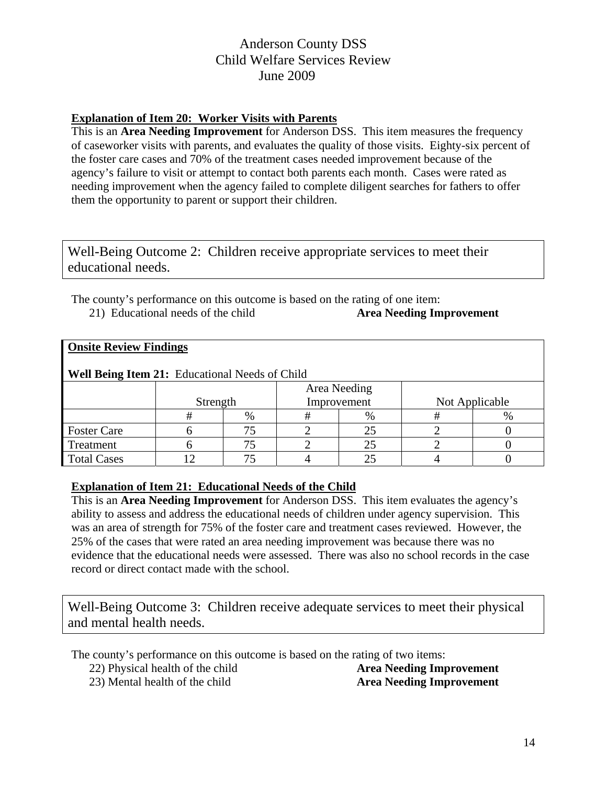## **Explanation of Item 20: Worker Visits with Parents**

This is an **Area Needing Improvement** for Anderson DSS. This item measures the frequency of caseworker visits with parents, and evaluates the quality of those visits. Eighty-six percent of the foster care cases and 70% of the treatment cases needed improvement because of the agency's failure to visit or attempt to contact both parents each month. Cases were rated as needing improvement when the agency failed to complete diligent searches for fathers to offer them the opportunity to parent or support their children.

Well-Being Outcome 2: Children receive appropriate services to meet their educational needs.

The county's performance on this outcome is based on the rating of one item: 21) Educational needs of the child **Area Needing Improvement** 

|  | <b>Onsite Review Findings</b> |
|--|-------------------------------|
|  |                               |

| <b>Well Being Item 21: Educational Needs of Child</b> |          |      |  |               |                |  |  |  |  |
|-------------------------------------------------------|----------|------|--|---------------|----------------|--|--|--|--|
| Area Needing                                          |          |      |  |               |                |  |  |  |  |
|                                                       | Strength |      |  | Improvement   | Not Applicable |  |  |  |  |
|                                                       |          | $\%$ |  | $\frac{0}{0}$ |                |  |  |  |  |
| <b>Foster Care</b>                                    |          |      |  |               |                |  |  |  |  |
| Treatment                                             |          |      |  |               |                |  |  |  |  |
| <b>Total Cases</b>                                    |          |      |  |               |                |  |  |  |  |

## **Explanation of Item 21: Educational Needs of the Child**

This is an **Area Needing Improvement** for Anderson DSS. This item evaluates the agency's ability to assess and address the educational needs of children under agency supervision. This was an area of strength for 75% of the foster care and treatment cases reviewed. However, the 25% of the cases that were rated an area needing improvement was because there was no evidence that the educational needs were assessed. There was also no school records in the case record or direct contact made with the school.

Well-Being Outcome 3: Children receive adequate services to meet their physical and mental health needs.

The county's performance on this outcome is based on the rating of two items:

22) Physical health of the child **Area Needing Improvement** 

23) Mental health of the child **Area Needing Improvement**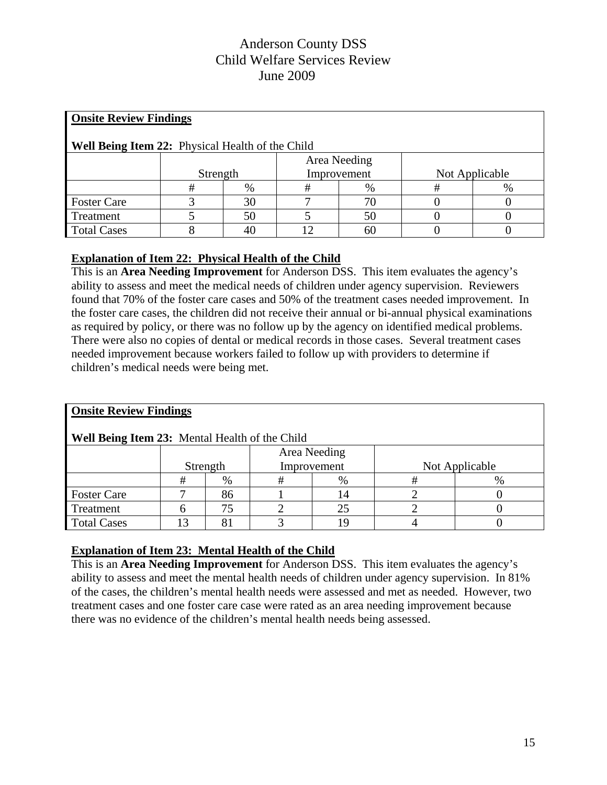| <b>Onsite Review Findings</b>                           |                                           |    |    |    |   |      |  |  |  |
|---------------------------------------------------------|-------------------------------------------|----|----|----|---|------|--|--|--|
| <b>Well Being Item 22:</b> Physical Health of the Child |                                           |    |    |    |   |      |  |  |  |
| Area Needing                                            |                                           |    |    |    |   |      |  |  |  |
|                                                         | Not Applicable<br>Strength<br>Improvement |    |    |    |   |      |  |  |  |
|                                                         | #                                         | %  | #  | %  | # | $\%$ |  |  |  |
| <b>Foster Care</b>                                      |                                           | 30 |    | 70 |   |      |  |  |  |
| Treatment                                               |                                           | 50 |    | 50 |   |      |  |  |  |
| <b>Total Cases</b>                                      |                                           | 40 | 12 | 60 |   |      |  |  |  |

## **Explanation of Item 22: Physical Health of the Child**

This is an **Area Needing Improvement** for Anderson DSS.This item evaluates the agency's ability to assess and meet the medical needs of children under agency supervision. Reviewers found that 70% of the foster care cases and 50% of the treatment cases needed improvement. In the foster care cases, the children did not receive their annual or bi-annual physical examinations as required by policy, or there was no follow up by the agency on identified medical problems. There were also no copies of dental or medical records in those cases. Several treatment cases needed improvement because workers failed to follow up with providers to determine if children's medical needs were being met.

| <b>Onsite Review Findings</b>                  |          |    |   |              |   |                |  |  |  |
|------------------------------------------------|----------|----|---|--------------|---|----------------|--|--|--|
| Well Being Item 23: Mental Health of the Child |          |    |   |              |   |                |  |  |  |
| Area Needing                                   |          |    |   |              |   |                |  |  |  |
|                                                | Strength |    |   | Improvement  |   | Not Applicable |  |  |  |
|                                                | #        | %  | # | $\%$         | # | $\%$           |  |  |  |
| <b>Foster Care</b>                             |          | 86 |   |              |   |                |  |  |  |
| Treatment                                      |          | 75 |   | 25           |   |                |  |  |  |
| <b>Total Cases</b>                             | 3        | 81 |   | <sup>0</sup> |   |                |  |  |  |

## **Explanation of Item 23: Mental Health of the Child**

This is an **Area Needing Improvement** for Anderson DSS. This item evaluates the agency's ability to assess and meet the mental health needs of children under agency supervision. In 81% of the cases, the children's mental health needs were assessed and met as needed. However, two treatment cases and one foster care case were rated as an area needing improvement because there was no evidence of the children's mental health needs being assessed.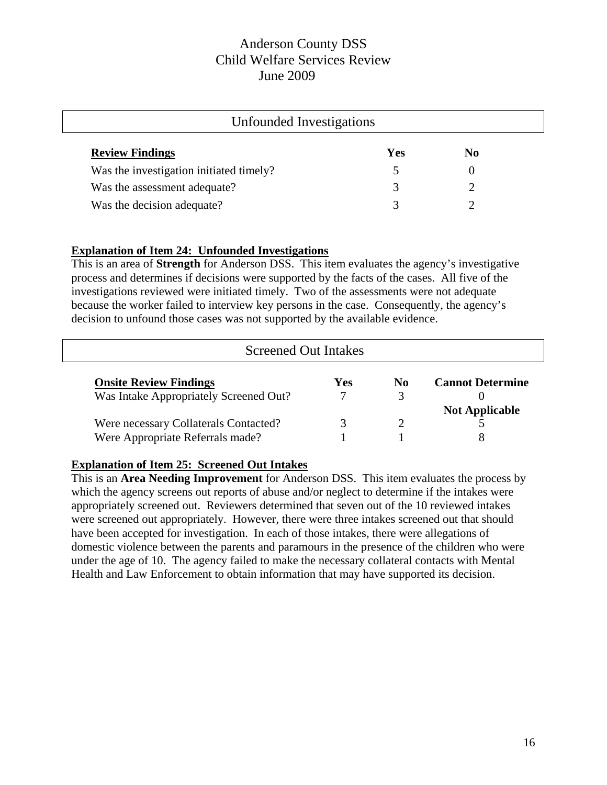| Unfounded Investigations                |            |                |  |  |
|-----------------------------------------|------------|----------------|--|--|
| <b>Review Findings</b>                  | <b>Yes</b> | N <sub>0</sub> |  |  |
| Was the investigation initiated timely? |            |                |  |  |
| Was the assessment adequate?            | 3          |                |  |  |
| Was the decision adequate?              | 3          |                |  |  |

## **Explanation of Item 24: Unfounded Investigations**

This is an area of **Strength** for Anderson DSS. This item evaluates the agency's investigative process and determines if decisions were supported by the facts of the cases. All five of the investigations reviewed were initiated timely. Two of the assessments were not adequate because the worker failed to interview key persons in the case. Consequently, the agency's decision to unfound those cases was not supported by the available evidence.

| <b>Screened Out Intakes</b>            |            |     |                         |
|----------------------------------------|------------|-----|-------------------------|
| <b>Onsite Review Findings</b>          | <b>Yes</b> | No. | <b>Cannot Determine</b> |
| Was Intake Appropriately Screened Out? |            | 3   |                         |
|                                        |            |     | <b>Not Applicable</b>   |
| Were necessary Collaterals Contacted?  |            |     |                         |
| Were Appropriate Referrals made?       |            |     |                         |

## **Explanation of Item 25: Screened Out Intakes**

This is an **Area Needing Improvement** for Anderson DSS. This item evaluates the process by which the agency screens out reports of abuse and/or neglect to determine if the intakes were appropriately screened out. Reviewers determined that seven out of the 10 reviewed intakes were screened out appropriately. However, there were three intakes screened out that should have been accepted for investigation. In each of those intakes, there were allegations of domestic violence between the parents and paramours in the presence of the children who were under the age of 10. The agency failed to make the necessary collateral contacts with Mental Health and Law Enforcement to obtain information that may have supported its decision.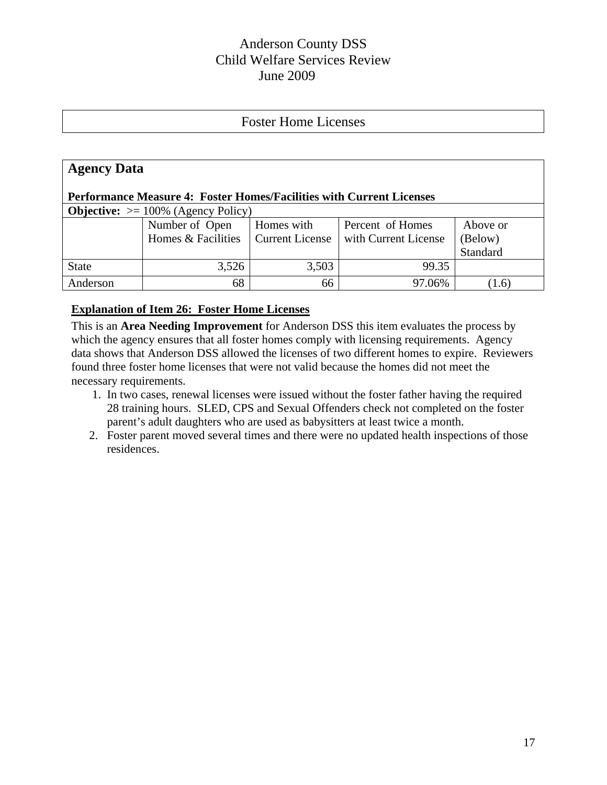# Foster Home Licenses

| <b>Agency Data</b>                                                          |                    |                        |                      |          |  |  |  |  |
|-----------------------------------------------------------------------------|--------------------|------------------------|----------------------|----------|--|--|--|--|
| <b>Performance Measure 4: Foster Homes/Facilities with Current Licenses</b> |                    |                        |                      |          |  |  |  |  |
| <b>Objective:</b> $> = 100\%$ (Agency Policy)                               |                    |                        |                      |          |  |  |  |  |
|                                                                             | Number of Open     | Homes with             | Percent of Homes     | Above or |  |  |  |  |
|                                                                             | Homes & Facilities | <b>Current License</b> | with Current License | (Below)  |  |  |  |  |
|                                                                             |                    |                        |                      | Standard |  |  |  |  |
| <b>State</b>                                                                | 3,526              | 3,503                  | 99.35                |          |  |  |  |  |
| Anderson                                                                    | 68                 | 66                     | 97.06%               | (1.6)    |  |  |  |  |

#### **Explanation of Item 26: Foster Home Licenses**

This is an **Area Needing Improvement** for Anderson DSS this item evaluates the process by which the agency ensures that all foster homes comply with licensing requirements. Agency data shows that Anderson DSS allowed the licenses of two different homes to expire. Reviewers found three foster home licenses that were not valid because the homes did not meet the necessary requirements.

- 1. In two cases, renewal licenses were issued without the foster father having the required 28 training hours. SLED, CPS and Sexual Offenders check not completed on the foster parent's adult daughters who are used as babysitters at least twice a month.
- 2. Foster parent moved several times and there were no updated health inspections of those residences.